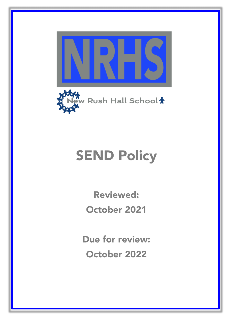



# **SEND Policy**

Reviewed: October 2021

Due for review: October 2022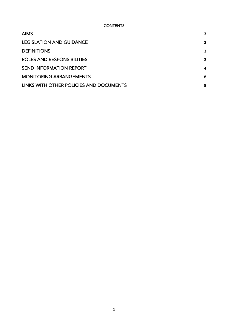# **CONTENTS**

| <b>AIMS</b>                             | 3                |
|-----------------------------------------|------------------|
| <b>LEGISLATION AND GUIDANCE</b>         | 3                |
| <b>DEFINITIONS</b>                      | 3                |
| ROLES AND RESPONSIBILITIES              | 3                |
| <b>SEND INFORMATION REPORT</b>          | $\boldsymbol{4}$ |
| <b>MONITORING ARRANGEMENTS</b>          | 8                |
| LINKS WITH OTHER POLICIES AND DOCUMENTS | 8                |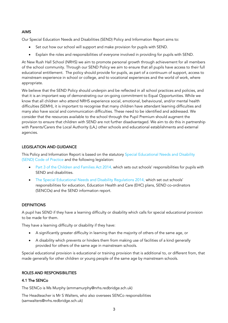## AIMS

Our Special Education Needs and Disabilities (SEND) Policy and Information Report aims to:

- Set out how our school will support and make provision for pupils with SEND.
- Explain the roles and responsibilities of everyone involved in providing for pupils with SEND.

At New Rush Hall School (NRHS) we aim to promote personal growth through achievement for all members of the school community. Through our SEND Policy we aim to ensure that all pupils have access to their full educational entitlement. The policy should provide for pupils, as part of a continuum of support, access to mainstream experience in school or college, and to vocational experiences and the world of work, where appropriate.

We believe that the SEND Policy should underpin and be reflected in all school practices and policies, and that it is an important way of demonstrating our on-going commitment to Equal Opportunities. While we know that all children who attend NRHS experience social, emotional, behavioural, and/or mental health difficulties (SEMH), it is important to recognise that many children have attendant learning difficulties and many also have social and communication difficulties. These need to be identified and addressed. We consider that the resources available to the school through the Pupil Premium should augment the provision to ensure that children with SEND are not further disadvantaged. We aim to do this in partnership with Parents/Carers the Local Authority (LA,) other schools and educational establishments and external agencies.

# LEGISLATION AND GUIDANCE

This Policy and Information Report is based on the statutory Special Educational Needs and Disability (SEND) Code of Practice and the following legislation:

- Part 3 of the Children and Families Act 2014, which sets out schools' responsibilities for pupils with SEND and disabilities.
- The Special Educational Needs and Disability Regulations 2014, which set out schools' responsibilities for education, Education Health and Care (EHC) plans, SEND co-ordinators (SENCOs) and the SEND information report.

# **DEFINITIONS**

A pupil has SEND if they have a learning difficulty or disability which calls for special educational provision to be made for them.

They have a learning difficulty or disability if they have:

- A significantly greater difficulty in learning than the majority of others of the same age, or
- A disability which prevents or hinders them from making use of facilities of a kind generally provided for others of the same age in mainstream schools.

Special educational provision is educational or training provision that is additional to, or different from, that made generally for other children or young people of the same age by mainstream schools.

# ROLES AND RESPONSIBILITIES

# 4.1 The SENCo

The SENCo is Ms Murphy (emmamurphy@nrhs.redbridge.sch.uk)

The Headteacher is Mr S Walters, who also oversees SENCo responsibilities (samwalters@nrhs.redbridge.sch.uk)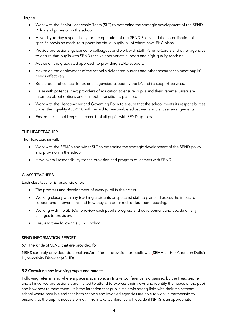They will:

- Work with the Senior Leadership Team (SLT) to determine the strategic development of the SEND Policy and provision in the school.
- Have day-to-day responsibility for the operation of this SEND Policy and the co-ordination of specific provision made to support individual pupils, all of whom have EHC plans.
- Provide professional guidance to colleagues and work with staff, Parents/Carers and other agencies to ensure that pupils with SEND receive appropriate support and high-quality teaching.
- Advise on the graduated approach to providing SEND support.
- Advise on the deployment of the school's delegated budget and other resources to meet pupils' needs effectively.
- Be the point of contact for external agencies, especially the LA and its support services.
- Liaise with potential next providers of education to ensure pupils and their Parents/Carers are informed about options and a smooth transition is planned.
- Work with the Headteacher and Governing Body to ensure that the school meets its responsibilities under the Equality Act 2010 with regard to reasonable adjustments and access arrangements.
- Ensure the school keeps the records of all pupils with SEND up to date.

## THE HEADTEACHER

The Headteacher will:

- Work with the SENCo and wider SLT to determine the strategic development of the SEND policy and provision in the school.
- Have overall responsibility for the provision and progress of learners with SEND.

#### CLASS TEACHERS

Each class teacher is responsible for:

- The progress and development of every pupil in their class.
- Working closely with any teaching assistants or specialist staff to plan and assess the impact of support and interventions and how they can be linked to classroom teaching.
- Working with the SENCo to review each pupil's progress and development and decide on any changes to provision.
- Ensuring they follow this SEND policy.

## SEND INFORMATION REPORT

#### 5.1 The kinds of SEND that are provided for

NRHS currently provides additional and/or different provision for pupils with SEMH and/or Attention Deficit Hyperactivity Disorder (ADHD).

## 5.2 Consulting and involving pupils and parents

Following referral, and where a place is available, an Intake Conference is organised by the Headteacher and all involved professionals are invited to attend to express their views and identify the needs of the pupil and how best to meet them. It is the intention that pupils maintain strong links with their mainstream school where possible and that both schools and involved agencies are able to work in partnership to ensure that the pupil's needs are met. The Intake Conference will decide if NRHS is an appropriate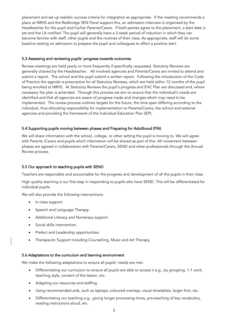placement and set up realistic success criteria for integration as appropriate. If the meeting recommends a place at NRHS and the Redbridge SEN Panel support this, an admission interview is organised by the Headteacher for the pupil and his/her Parents/Carers. If both parties agree to the placement, a start date is set and the LA notified. The pupil will generally have a 2-week period of induction in which they can become familiar with staff, other pupils and the routines of their class. As appropriate, staff will do some baseline testing on admission to prepare the pupil and colleagues to affect a positive start.

#### 5.3 Assessing and reviewing pupils' progress towards outcomes

Review meetings are held yearly or more frequently if specifically requested. Statutory Reviews are generally chaired by the Headteacher. All involved agencies and Parents/Carers are invited to attend and submit a report. The school and the pupil submit a written report. Following the introduction of the Code of Practice the agenda is prescriptive for all Statutory Reviews, which are held within 12 months of the pupil being enrolled at NRHS. At Statutory Reviews the pupil's progress and EHC Plan are discussed and, where necessary the plan is amended. Through this process we aim to ensure that the individual's needs are identified and that all agencies are aware of progress made and changes which may need to be implemented. The review process outlines targets for the future, the time span differing according to the individual, thus allocating responsibility for implementation to Parents/Carers, the school and external agencies and providing the framework of the Individual Education Plan (IEP).

#### 5.4 Supporting pupils moving between phases and Preparing for Adulthood (PfA)

We will share information with the school, college, or other setting the pupil is moving to. We will agree with Parents /Carers and pupils which information will be shared as part of this. All movement between phases are agreed in collaboration with Parents/Carers, SEND and other professionals through the Annual Review process.

## 5.5 Our approach to teaching pupils with SEND

Teachers are responsible and accountable for the progress and development of all the pupils in their class.

High quality teaching is our first step in responding to pupils who have SEND. This will be differentiated for individual pupils.

We will also provide the following interventions:

- In-class support.
- Speech and Language Therapy.
- Additional Literacy and Numeracy support.
- Social skills intervention.
- Prefect and Leadership opportunities.
- Therapeutic Support including Counselling, Music and Art Therapy.

#### 5.6 Adaptations to the curriculum and learning environment

We make the following adaptations to ensure all pupils' needs are met:

- Differentiating our curriculum to ensure all pupils are able to access it e.g., by grouping, 1-1 work, teaching style, content of the lesson, etc.
- Adapting our resources and staffing.
- Using recommended aids, such as laptops, coloured overlays, visual timetables, larger font, etc.
- Differentiating our teaching e.g., giving longer processing times, pre-teaching of key vocabulary, reading instructions aloud, etc.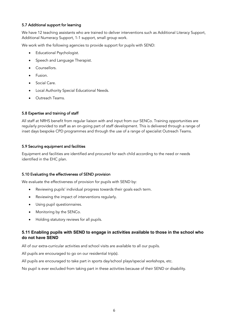## 5.7 Additional support for learning

We have 12 teaching assistants who are trained to deliver interventions such as Additional Literacy Support, Additional Numeracy Support, 1-1 support, small group work.

We work with the following agencies to provide support for pupils with SEND:

- Educational Psychologist.
- Speech and Language Therapist.
- Counsellors.
- Fusion.
- Social Care.
- Local Authority Special Educational Needs.
- Outreach Teams.

#### 5.8 Expertise and training of staff

All staff at NRHS benefit from regular liaison with and input from our SENCo. Training opportunities are regularly provided to staff as an on-going part of staff development. This is delivered through a range of inset days bespoke CPD programmes and through the use of a range of specialist Outreach Teams.

#### 5.9 Securing equipment and facilities

Equipment and facilities are identified and procured for each child according to the need or needs identified in the EHC plan.

#### 5.10 Evaluating the effectiveness of SEND provision

We evaluate the effectiveness of provision for pupils with SEND by:

- Reviewing pupils' individual progress towards their goals each term.
- Reviewing the impact of interventions regularly.
- Using pupil questionnaires.
- Monitoring by the SENCo.
- Holding statutory reviews for all pupils.

## **5.11 Enabling pupils with SEND to engage in activities available to those in the school who do not have SEND**

All of our extra-curricular activities and school visits are available to all our pupils.

All pupils are encouraged to go on our residential trip(s).

All pupils are encouraged to take part in sports day/school plays/special workshops, etc.

No pupil is ever excluded from taking part in these activities because of their SEND or disability.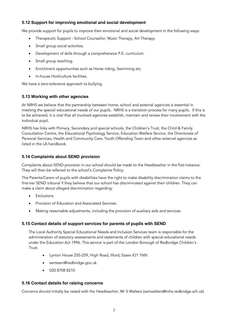# **5.12 Support for improving emotional and social development**

We provide support for pupils to improve their emotional and social development in the following ways:

- Therapeutic Support School Counsellor, Music Therapy, Art Therapy.
- Small group social activities.
- Development of skills through a comprehensive P.E. curriculum.
- Small group teaching.
- Enrichment opportunities such as Horse riding, Swimming etc.
- In-house Horticulture facilities.

We have a zero-tolerance approach to bullying.

## **5.13 Working with other agencies**

At NRHS we believe that the partnership between home, school and external agencies is essential in meeting the special educational needs of our pupils. NRHS is a transition process for many pupils. If this is to be achieved, it is vital that all involved agencies establish, maintain and review their involvement with the individual pupil.

NRHS has links with Primary, Secondary and special schools, the Children's Trust, the Child & Family Consultation Centre, the Educational Psychology Service, Education Welfare Service, the Directorate of Personal Services, Health and Community Care, Youth Offending Team and other external agencies as listed in the LA handbook.

## **5.14 Complaints about SEND provision**

Complaints about SEND provision in our school should be made to the Headteacher in the first instance. They will then be referred to the school's Complaints Policy.

The Parents/Carers of pupils with disabilities have the right to make disability discrimination claims to the first-tier SEND tribunal if they believe that our school has discriminated against their children. They can make a claim about alleged discrimination regarding:

- Exclusions.
- Provision of Education and Associated Services.
- Making reasonable adjustments, including the provision of auxiliary aids and services.

## **5.15 Contact details of support services for parents of pupils with SEND**

The Local Authority Special Educational Needs and Inclusion Services team is responsible for the administration of statutory assessments and statements of children with special educational needs under the Education Act 1996. This service is part of the London Borough of Redbridge Children's Trust.

- Lynton House 255-259, High Road, Ilford, Essex IG1 1NN
- senteam@redbridge.gov.uk
- 020 8708 8210

## **5.16 Contact details for raising concerns**

Concerns should initially be raised with the Headteacher, Mr S Walters (samwalters@nrhs.redbridge.sch.uk)